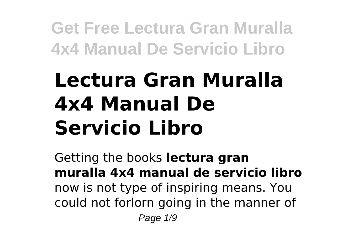# **Lectura Gran Muralla 4x4 Manual De Servicio Libro**

Getting the books **lectura gran muralla 4x4 manual de servicio libro** now is not type of inspiring means. You could not forlorn going in the manner of Page 1/9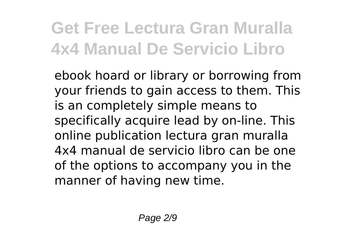ebook hoard or library or borrowing from your friends to gain access to them. This is an completely simple means to specifically acquire lead by on-line. This online publication lectura gran muralla 4x4 manual de servicio libro can be one of the options to accompany you in the manner of having new time.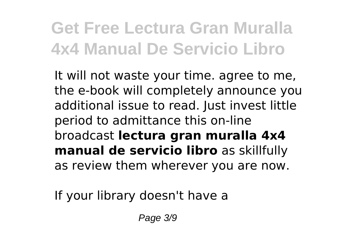It will not waste your time. agree to me, the e-book will completely announce you additional issue to read. Just invest little period to admittance this on-line broadcast **lectura gran muralla 4x4 manual de servicio libro** as skillfully as review them wherever you are now.

If your library doesn't have a

Page 3/9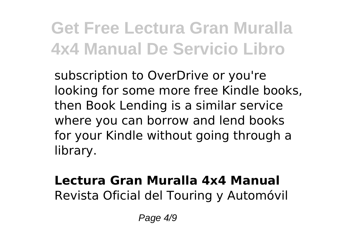subscription to OverDrive or you're looking for some more free Kindle books, then Book Lending is a similar service where you can borrow and lend books for your Kindle without going through a library.

#### **Lectura Gran Muralla 4x4 Manual** Revista Oficial del Touring y Automóvil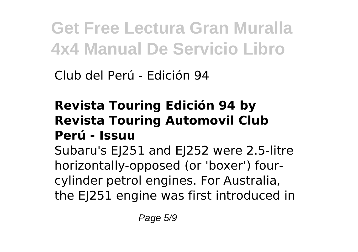Club del Perú - Edición 94

#### **Revista Touring Edición 94 by Revista Touring Automovil Club Perú - Issuu**

Subaru's EJ251 and EJ252 were 2.5-litre horizontally-opposed (or 'boxer') fourcylinder petrol engines. For Australia, the EJ251 engine was first introduced in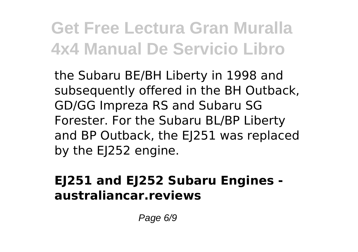the Subaru BE/BH Liberty in 1998 and subsequently offered in the BH Outback, GD/GG Impreza RS and Subaru SG Forester. For the Subaru BL/BP Liberty and BP Outback, the EJ251 was replaced by the EJ252 engine.

#### **EJ251 and EJ252 Subaru Engines australiancar.reviews**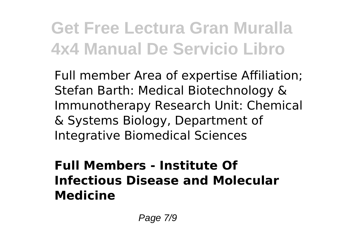Full member Area of expertise Affiliation; Stefan Barth: Medical Biotechnology & Immunotherapy Research Unit: Chemical & Systems Biology, Department of Integrative Biomedical Sciences

#### **Full Members - Institute Of Infectious Disease and Molecular Medicine**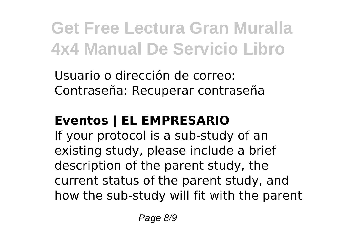Usuario o dirección de correo: Contraseña: Recuperar contraseña

#### **Eventos | EL EMPRESARIO**

If your protocol is a sub-study of an existing study, please include a brief description of the parent study, the current status of the parent study, and how the sub-study will fit with the parent